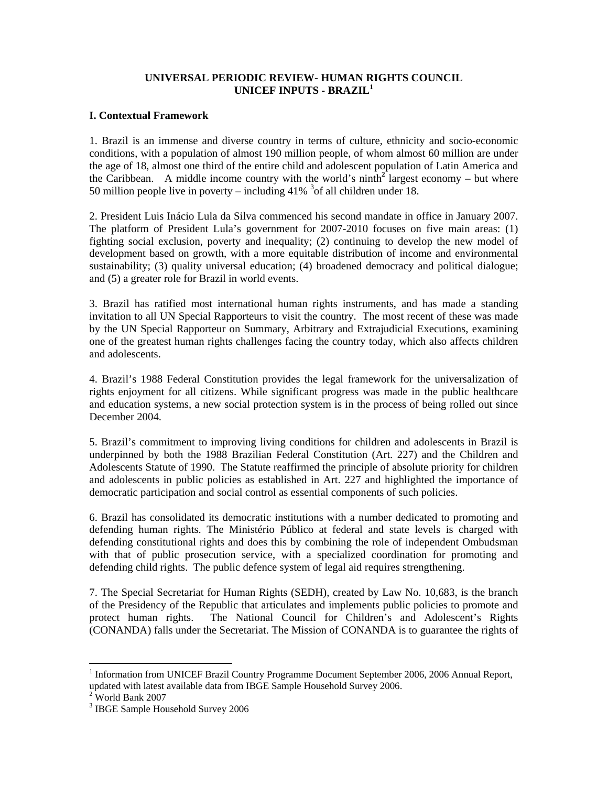## **UNIVERSAL PERIODIC REVIEW- HUMAN RIGHTS COUNCIL UNICEF INPUTS - BRAZIL<sup>1</sup>**

## **I. Contextual Framework**

1. Brazil is an immense and diverse country in terms of culture, ethnicity and socio-economic conditions, with a population of almost 190 million people, of whom almost 60 million are under the age of 18, almost one third of the entire child and adolescent population of Latin America and the Caribbean. A middle income country with the world's ninth<sup>2</sup> largest economy – but where 50 million people live in poverty – including  $41\%$ <sup>3</sup> of all children under 18.

2. President Luis Inácio Lula da Silva commenced his second mandate in office in January 2007. The platform of President Lula's government for 2007-2010 focuses on five main areas: (1) fighting social exclusion, poverty and inequality; (2) continuing to develop the new model of development based on growth, with a more equitable distribution of income and environmental sustainability; (3) quality universal education; (4) broadened democracy and political dialogue; and (5) a greater role for Brazil in world events.

3. Brazil has ratified most international human rights instruments, and has made a standing invitation to all UN Special Rapporteurs to visit the country. The most recent of these was made by the UN Special Rapporteur on Summary, Arbitrary and Extrajudicial Executions, examining one of the greatest human rights challenges facing the country today, which also affects children and adolescents.

4. Brazil's 1988 Federal Constitution provides the legal framework for the universalization of rights enjoyment for all citizens. While significant progress was made in the public healthcare and education systems, a new social protection system is in the process of being rolled out since December 2004.

5. Brazil's commitment to improving living conditions for children and adolescents in Brazil is underpinned by both the 1988 Brazilian Federal Constitution (Art. 227) and the Children and Adolescents Statute of 1990. The Statute reaffirmed the principle of absolute priority for children and adolescents in public policies as established in Art. 227 and highlighted the importance of democratic participation and social control as essential components of such policies.

6. Brazil has consolidated its democratic institutions with a number dedicated to promoting and defending human rights. The Ministério Público at federal and state levels is charged with defending constitutional rights and does this by combining the role of independent Ombudsman with that of public prosecution service, with a specialized coordination for promoting and defending child rights. The public defence system of legal aid requires strengthening.

7. The Special Secretariat for Human Rights (SEDH), created by Law No. 10,683, is the branch of the Presidency of the Republic that articulates and implements public policies to promote and protect human rights. The National Council for Children's and Adolescent's Rights (CONANDA) falls under the Secretariat. The Mission of CONANDA is to guarantee the rights of

 $\overline{a}$ 

<sup>&</sup>lt;sup>1</sup> Information from UNICEF Brazil Country Programme Document September 2006, 2006 Annual Report, updated with latest available data from IBGE Sample Household Survey 2006.

 $2$  World Bank 2007

<sup>&</sup>lt;sup>3</sup> IBGE Sample Household Survey 2006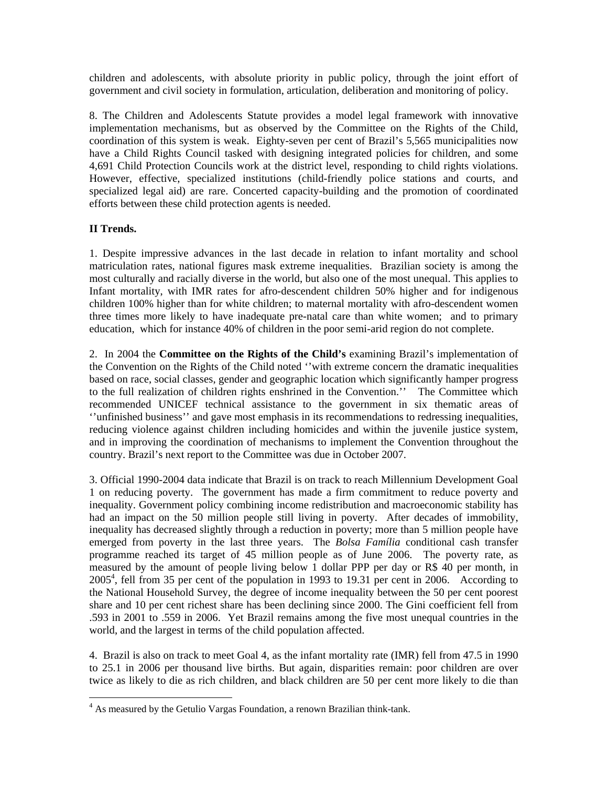children and adolescents, with absolute priority in public policy, through the joint effort of government and civil society in formulation, articulation, deliberation and monitoring of policy.

8. The Children and Adolescents Statute provides a model legal framework with innovative implementation mechanisms, but as observed by the Committee on the Rights of the Child, coordination of this system is weak. Eighty-seven per cent of Brazil's 5,565 municipalities now have a Child Rights Council tasked with designing integrated policies for children, and some 4,691 Child Protection Councils work at the district level, responding to child rights violations. However, effective, specialized institutions (child-friendly police stations and courts, and specialized legal aid) are rare. Concerted capacity-building and the promotion of coordinated efforts between these child protection agents is needed.

## **II Trends.**

 $\overline{a}$ 

1. Despite impressive advances in the last decade in relation to infant mortality and school matriculation rates, national figures mask extreme inequalities. Brazilian society is among the most culturally and racially diverse in the world, but also one of the most unequal. This applies to Infant mortality, with IMR rates for afro-descendent children 50% higher and for indigenous children 100% higher than for white children; to maternal mortality with afro-descendent women three times more likely to have inadequate pre-natal care than white women; and to primary education, which for instance 40% of children in the poor semi-arid region do not complete.

2. In 2004 the **Committee on the Rights of the Child's** examining Brazil's implementation of the Convention on the Rights of the Child noted ''with extreme concern the dramatic inequalities based on race, social classes, gender and geographic location which significantly hamper progress to the full realization of children rights enshrined in the Convention.'' The Committee which recommended UNICEF technical assistance to the government in six thematic areas of ''unfinished business'' and gave most emphasis in its recommendations to redressing inequalities, reducing violence against children including homicides and within the juvenile justice system, and in improving the coordination of mechanisms to implement the Convention throughout the country. Brazil's next report to the Committee was due in October 2007.

3. Official 1990-2004 data indicate that Brazil is on track to reach Millennium Development Goal 1 on reducing poverty. The government has made a firm commitment to reduce poverty and inequality. Government policy combining income redistribution and macroeconomic stability has had an impact on the 50 million people still living in poverty. After decades of immobility, inequality has decreased slightly through a reduction in poverty; more than 5 million people have emerged from poverty in the last three years. The *Bolsa Família* conditional cash transfer programme reached its target of 45 million people as of June 2006. The poverty rate, as measured by the amount of people living below 1 dollar PPP per day or R\$ 40 per month, in 20054 , fell from 35 per cent of the population in 1993 to 19.31 per cent in 2006. According to the National Household Survey, the degree of income inequality between the 50 per cent poorest share and 10 per cent richest share has been declining since 2000. The Gini coefficient fell from .593 in 2001 to .559 in 2006. Yet Brazil remains among the five most unequal countries in the world, and the largest in terms of the child population affected.

4. Brazil is also on track to meet Goal 4, as the infant mortality rate (IMR) fell from 47.5 in 1990 to 25.1 in 2006 per thousand live births. But again, disparities remain: poor children are over twice as likely to die as rich children, and black children are 50 per cent more likely to die than

<sup>&</sup>lt;sup>4</sup> As measured by the Getulio Vargas Foundation, a renown Brazilian think-tank.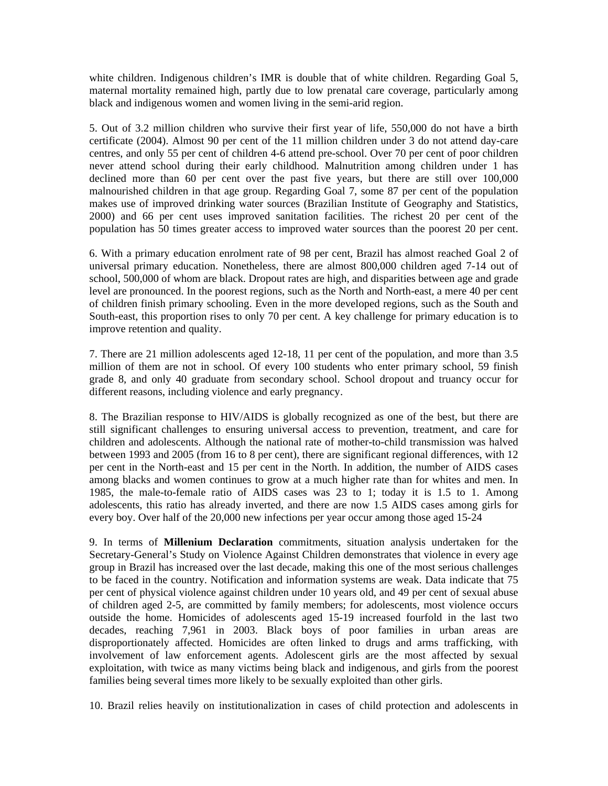white children. Indigenous children's IMR is double that of white children. Regarding Goal 5, maternal mortality remained high, partly due to low prenatal care coverage, particularly among black and indigenous women and women living in the semi-arid region.

5. Out of 3.2 million children who survive their first year of life, 550,000 do not have a birth certificate (2004). Almost 90 per cent of the 11 million children under 3 do not attend day-care centres, and only 55 per cent of children 4-6 attend pre-school. Over 70 per cent of poor children never attend school during their early childhood. Malnutrition among children under 1 has declined more than 60 per cent over the past five years, but there are still over 100,000 malnourished children in that age group. Regarding Goal 7, some 87 per cent of the population makes use of improved drinking water sources (Brazilian Institute of Geography and Statistics, 2000) and 66 per cent uses improved sanitation facilities. The richest 20 per cent of the population has 50 times greater access to improved water sources than the poorest 20 per cent.

6. With a primary education enrolment rate of 98 per cent, Brazil has almost reached Goal 2 of universal primary education. Nonetheless, there are almost 800,000 children aged 7-14 out of school, 500,000 of whom are black. Dropout rates are high, and disparities between age and grade level are pronounced. In the poorest regions, such as the North and North-east, a mere 40 per cent of children finish primary schooling. Even in the more developed regions, such as the South and South-east, this proportion rises to only 70 per cent. A key challenge for primary education is to improve retention and quality.

7. There are 21 million adolescents aged 12-18, 11 per cent of the population, and more than 3.5 million of them are not in school. Of every 100 students who enter primary school, 59 finish grade 8, and only 40 graduate from secondary school. School dropout and truancy occur for different reasons, including violence and early pregnancy.

8. The Brazilian response to HIV/AIDS is globally recognized as one of the best, but there are still significant challenges to ensuring universal access to prevention, treatment, and care for children and adolescents. Although the national rate of mother-to-child transmission was halved between 1993 and 2005 (from 16 to 8 per cent), there are significant regional differences, with 12 per cent in the North-east and 15 per cent in the North. In addition, the number of AIDS cases among blacks and women continues to grow at a much higher rate than for whites and men. In 1985, the male-to-female ratio of AIDS cases was 23 to 1; today it is 1.5 to 1. Among adolescents, this ratio has already inverted, and there are now 1.5 AIDS cases among girls for every boy. Over half of the 20,000 new infections per year occur among those aged 15-24

9. In terms of **Millenium Declaration** commitments, situation analysis undertaken for the Secretary-General's Study on Violence Against Children demonstrates that violence in every age group in Brazil has increased over the last decade, making this one of the most serious challenges to be faced in the country. Notification and information systems are weak. Data indicate that 75 per cent of physical violence against children under 10 years old, and 49 per cent of sexual abuse of children aged 2-5, are committed by family members; for adolescents, most violence occurs outside the home. Homicides of adolescents aged 15-19 increased fourfold in the last two decades, reaching 7,961 in 2003. Black boys of poor families in urban areas are disproportionately affected. Homicides are often linked to drugs and arms trafficking, with involvement of law enforcement agents. Adolescent girls are the most affected by sexual exploitation, with twice as many victims being black and indigenous, and girls from the poorest families being several times more likely to be sexually exploited than other girls.

10. Brazil relies heavily on institutionalization in cases of child protection and adolescents in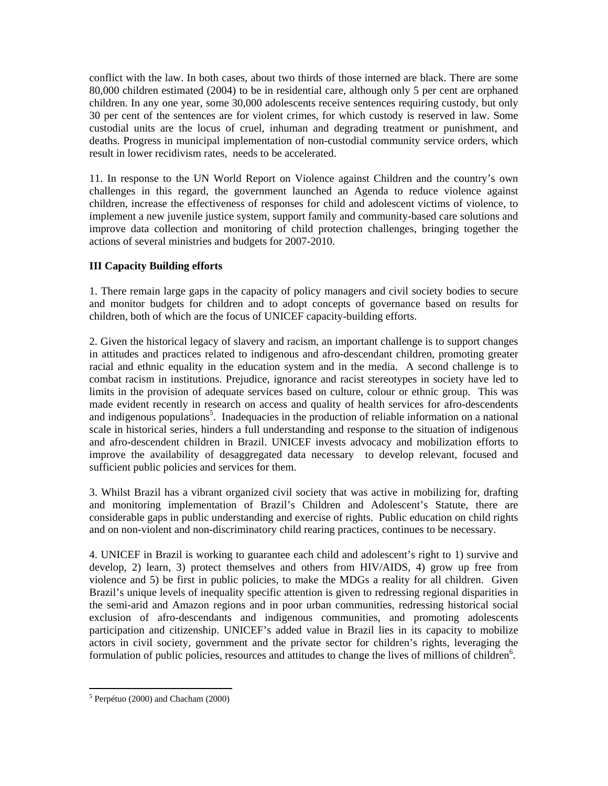conflict with the law. In both cases, about two thirds of those interned are black. There are some 80,000 children estimated (2004) to be in residential care, although only 5 per cent are orphaned children. In any one year, some 30,000 adolescents receive sentences requiring custody, but only 30 per cent of the sentences are for violent crimes, for which custody is reserved in law. Some custodial units are the locus of cruel, inhuman and degrading treatment or punishment, and deaths. Progress in municipal implementation of non-custodial community service orders, which result in lower recidivism rates, needs to be accelerated.

11. In response to the UN World Report on Violence against Children and the country's own challenges in this regard, the government launched an Agenda to reduce violence against children, increase the effectiveness of responses for child and adolescent victims of violence, to implement a new juvenile justice system, support family and community-based care solutions and improve data collection and monitoring of child protection challenges, bringing together the actions of several ministries and budgets for 2007-2010.

## **III Capacity Building efforts**

1. There remain large gaps in the capacity of policy managers and civil society bodies to secure and monitor budgets for children and to adopt concepts of governance based on results for children, both of which are the focus of UNICEF capacity-building efforts.

2. Given the historical legacy of slavery and racism, an important challenge is to support changes in attitudes and practices related to indigenous and afro-descendant children, promoting greater racial and ethnic equality in the education system and in the media. A second challenge is to combat racism in institutions. Prejudice, ignorance and racist stereotypes in society have led to limits in the provision of adequate services based on culture, colour or ethnic group. This was made evident recently in research on access and quality of health services for afro-descendents and indigenous populations<sup>5</sup>. Inadequacies in the production of reliable information on a national scale in historical series, hinders a full understanding and response to the situation of indigenous and afro-descendent children in Brazil. UNICEF invests advocacy and mobilization efforts to improve the availability of desaggregated data necessary to develop relevant, focused and sufficient public policies and services for them.

3. Whilst Brazil has a vibrant organized civil society that was active in mobilizing for, drafting and monitoring implementation of Brazil's Children and Adolescent's Statute, there are considerable gaps in public understanding and exercise of rights. Public education on child rights and on non-violent and non-discriminatory child rearing practices, continues to be necessary.

4. UNICEF in Brazil is working to guarantee each child and adolescent's right to 1) survive and develop, 2) learn, 3) protect themselves and others from HIV/AIDS, 4) grow up free from violence and 5) be first in public policies, to make the MDGs a reality for all children. Given Brazil's unique levels of inequality specific attention is given to redressing regional disparities in the semi-arid and Amazon regions and in poor urban communities, redressing historical social exclusion of afro-descendants and indigenous communities, and promoting adolescents participation and citizenship. UNICEF's added value in Brazil lies in its capacity to mobilize actors in civil society, government and the private sector for children's rights, leveraging the formulation of public policies, resources and attitudes to change the lives of millions of children<sup>6</sup>.

 5 Perpétuo (2000) and Chacham (2000)